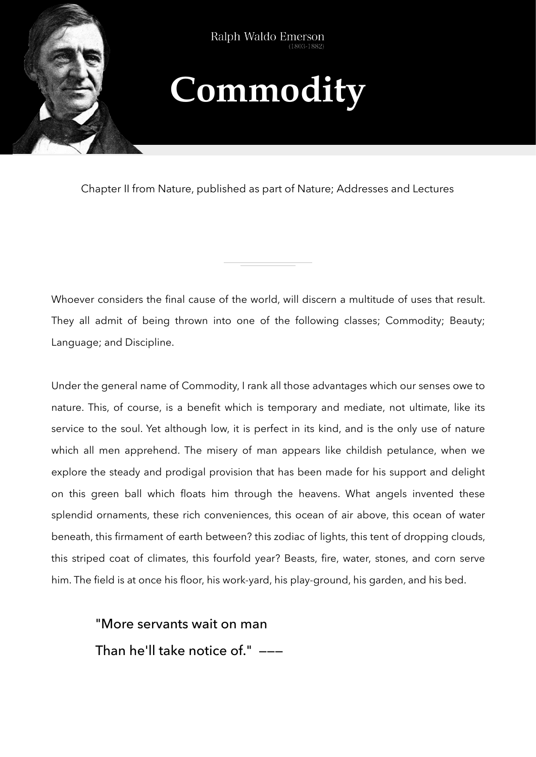

Ralph Waldo Emerson

## **Commodity**

Chapter II from Nature, published as part of Nature; Addresses and Lectures

Whoever considers the final cause of the world, will discern a multitude of uses that result. They all admit of being thrown into one of the following classes; Commodity; Beauty; Language; and Discipline.

Under the general name of Commodity, I rank all those advantages which our senses owe to nature. This, of course, is a benefit which is temporary and mediate, not ultimate, like its service to the soul. Yet although low, it is perfect in its kind, and is the only use of nature which all men apprehend. The misery of man appears like childish petulance, when we explore the steady and prodigal provision that has been made for his support and delight on this green ball which floats him through the heavens. What angels invented these splendid ornaments, these rich conveniences, this ocean of air above, this ocean of water beneath, this firmament of earth between? this zodiac of lights, this tent of dropping clouds, this striped coat of climates, this fourfold year? Beasts, fire, water, stones, and corn serve him. The field is at once his floor, his work-yard, his play-ground, his garden, and his bed.

"More servants wait on man

Than he'll take notice of." ———